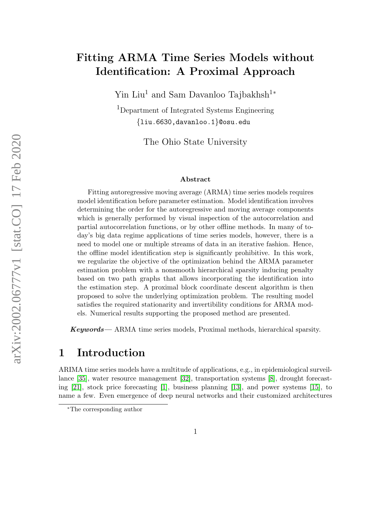# Fitting ARMA Time Series Models without Identification: A Proximal Approach

Yin Liu<sup>1</sup> and Sam Davanloo Tajbakhsh<sup>1</sup><sup>∗</sup>

<sup>1</sup>Department of Integrated Systems Engineering {liu.6630,davanloo.1}@osu.edu

The Ohio State University

#### Abstract

Fitting autoregressive moving average (ARMA) time series models requires model identification before parameter estimation. Model identification involves determining the order for the autoregressive and moving average components which is generally performed by visual inspection of the autocorrelation and partial autocorrelation functions, or by other offline methods. In many of today's big data regime applications of time series models, however, there is a need to model one or multiple streams of data in an iterative fashion. Hence, the offline model identification step is significantly prohibitive. In this work, we regularize the objective of the optimization behind the ARMA parameter estimation problem with a nonsmooth hierarchical sparsity inducing penalty based on two path graphs that allows incorporating the identification into the estimation step. A proximal block coordinate descent algorithm is then proposed to solve the underlying optimization problem. The resulting model satisfies the required stationarity and invertibility conditions for ARMA models. Numerical results supporting the proposed method are presented.

Keywords— ARMA time series models, Proximal methods, hierarchical sparsity.

### 1 Introduction

ARIMA time series models have a multitude of applications, e.g., in epidemiological surveillance [\[35\]](#page-16-0), water resource management [\[32\]](#page-16-1), transportation systems [\[8\]](#page-14-0), drought forecasting [\[21\]](#page-15-0), stock price forecasting [\[1\]](#page-13-0), business planning [\[13\]](#page-14-1), and power systems [\[15\]](#page-14-2), to name a few. Even emergence of deep neural networks and their customized architectures

<sup>∗</sup>The corresponding author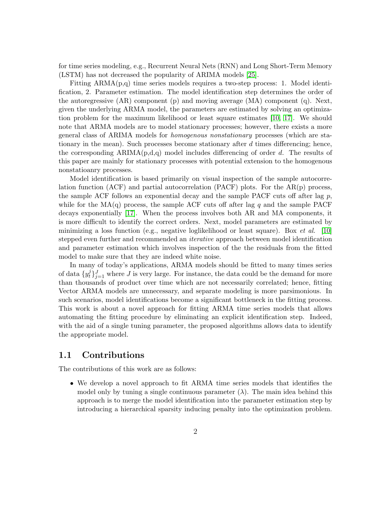for time series modeling, e.g., Recurrent Neural Nets (RNN) and Long Short-Term Memory (LSTM) has not decreased the popularity of ARIMA models [\[25\]](#page-15-1).

Fitting  $ARMA(p,q)$  time series models requires a two-step process: 1. Model identification, 2. Parameter estimation. The model identification step determines the order of the autoregressive (AR) component (p) and moving average (MA) component (q). Next, given the underlying ARMA model, the parameters are estimated by solving an optimization problem for the maximum likelihood or least square estimates [\[10,](#page-14-3) [17\]](#page-14-4). We should note that ARMA models are to model stationary processes; however, there exists a more general class of ARIMA models for homogenous nonstationary processes (which are stationary in the mean). Such processes become stationary after  $d$  times differencing; hence, the corresponding  $ARIMA(p,d,q)$  model includes differencing of order d. The results of this paper are mainly for stationary processes with potential extension to the homogenous nonstatioanry processes.

Model identification is based primarily on visual inspection of the sample autocorrelation function (ACF) and partial autocorrelation (PACF) plots. For the  $AR(p)$  process, the sample ACF follows an exponential decay and the sample PACF cuts off after lag  $p$ , while for the  $MA(q)$  process, the sample ACF cuts off after lag q and the sample PACF decays exponentially [\[17\]](#page-14-4). When the process involves both AR and MA components, it is more difficult to identify the correct orders. Next, model parameters are estimated by minimizing a loss function (e.g., negative loglikelihood or least square). Box *et al.* [\[10\]](#page-14-3) stepped even further and recommended an *iterative* approach between model identification and parameter estimation which involves inspection of the the residuals from the fitted model to make sure that they are indeed white noise.

In many of today's applications, ARMA models should be fitted to many times series of data  $\{y_t^j\}$  $t^j$ ,  $t^j$ <sub>j=1</sub> where J is very large. For instance, the data could be the demand for more than thousands of product over time which are not necessarily correlated; hence, fitting Vector ARMA models are unnecessary, and separate modeling is more parsimonious. In such scenarios, model identifications become a significant bottleneck in the fitting process. This work is about a novel approach for fitting ARMA time series models that allows automating the fitting procedure by eliminating an explicit identification step. Indeed, with the aid of a single tuning parameter, the proposed algorithms allows data to identify the appropriate model.

#### 1.1 Contributions

The contributions of this work are as follows:

• We develop a novel approach to fit ARMA time series models that identifies the model only by tuning a single continuous parameter  $(\lambda)$ . The main idea behind this approach is to merge the model identification into the parameter estimation step by introducing a hierarchical sparsity inducing penalty into the optimization problem.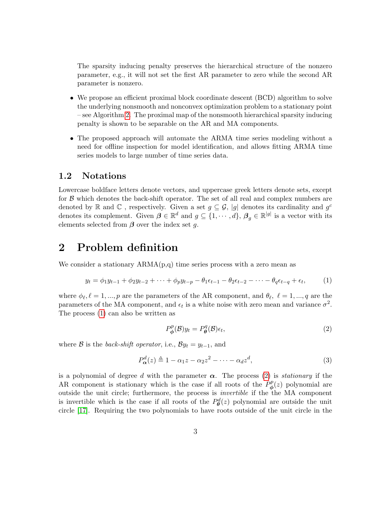The sparsity inducing penalty preserves the hierarchical structure of the nonzero parameter, e.g., it will not set the first AR parameter to zero while the second AR parameter is nonzero.

- We propose an efficient proximal block coordinate descent (BCD) algorithm to solve the underlying nonsmooth and nonconvex optimization problem to a stationary point – see Algorithm [2.](#page-8-0) The proximal map of the nonsmooth hierarchical sparsity inducing penalty is shown to be separable on the AR and MA components.
- The proposed approach will automate the ARMA time series modeling without a need for offline inspection for model identification, and allows fitting ARMA time series models to large number of time series data.

#### 1.2 Notations

Lowercase boldface letters denote vectors, and uppercase greek letters denote sets, except for  $\beta$  which denotes the back-shift operator. The set of all real and complex numbers are denoted by R and C, respectively. Given a set  $g \subseteq \mathcal{G}$ , |g| denotes its cardinality and  $g^c$ denotes its complement. Given  $\boldsymbol{\beta} \in \mathbb{R}^d$  and  $g \subseteq \{1, \cdots, d\}$ ,  $\boldsymbol{\beta}_g \in \mathbb{R}^{|g|}$  is a vector with its elements selected from  $\beta$  over the index set g.

### 2 Problem definition

We consider a stationary  $ARMA(p,q)$  time series process with a zero mean as

$$
y_t = \phi_1 y_{t-1} + \phi_2 y_{t-2} + \dots + \phi_p y_{t-p} - \theta_1 \epsilon_{t-1} - \theta_2 \epsilon_{t-2} - \dots - \theta_q \epsilon_{t-q} + \epsilon_t, \tag{1}
$$

where  $\phi_{\ell}, \ell = 1, ..., p$  are the parameters of the AR component, and  $\theta_{\ell}, \ell = 1, ..., q$  are the parameters of the MA component, and  $\epsilon_t$  is a white noise with zero mean and variance  $\sigma^2$ . The process [\(1\)](#page-2-0) can also be written as

<span id="page-2-1"></span><span id="page-2-0"></span>
$$
P_{\phi}^{p}(\mathcal{B})y_{t} = P_{\theta}^{q}(\mathcal{B})\epsilon_{t},\tag{2}
$$

where B is the back-shift operator, i.e.,  $\mathcal{B}y_t = y_{t-1}$ , and

$$
P_{\alpha}^{d}(z) \triangleq 1 - \alpha_1 z - \alpha_2 z^2 - \dots - \alpha_d z^d, \qquad (3)
$$

is a polynomial of degree d with the parameter  $\alpha$ . The process [\(2\)](#page-2-1) is *stationary* if the AR component is stationary which is the case if all roots of the  $P^p_{\phi}$  $\phi^p(z)$  polynomial are outside the unit circle; furthermore, the process is invertible if the the MA component is invertible which is the case if all roots of the  $P_{\theta}^{d}(z)$  polynomial are outside the unit circle [\[17\]](#page-14-4). Requiring the two polynomials to have roots outside of the unit circle in the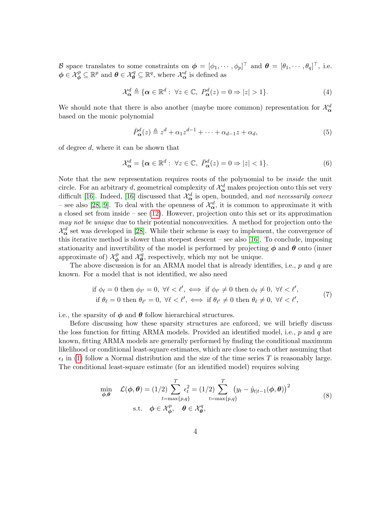B space translates to some constraints on  $\boldsymbol{\phi} = [\phi_1, \cdots, \phi_p]^\top$  and  $\boldsymbol{\theta} = [\theta_1, \cdots, \theta_q]^\top$ , i.e.  $\phi \in \mathcal{X}_{\phi}^p \subseteq \mathbb{R}^p$  and  $\theta \in \mathcal{X}_{\theta}^q \subseteq \mathbb{R}^q$ , where  $\mathcal{X}_{\alpha}^d$  is defined as

<span id="page-3-2"></span>
$$
\mathcal{X}_{\alpha}^{d} \triangleq \{ \alpha \in \mathbb{R}^{d} : \ \forall z \in \mathbb{C}, \ P_{\alpha}^{d}(z) = 0 \Rightarrow |z| > 1 \}. \tag{4}
$$

We should note that there is also another (maybe more common) representation for  $\mathcal{X}_{\alpha}^{d}$ based on the monic polynomial

<span id="page-3-3"></span>
$$
\bar{P}_{\alpha}^{d}(z) \triangleq z^{d} + \alpha_1 z^{d-1} + \dots + \alpha_{d-1} z + \alpha_d, \tag{5}
$$

of degree d, where it can be shown that

$$
\mathcal{X}_{\alpha}^{d} = \{ \alpha \in \mathbb{R}^{d} : \ \forall z \in \mathbb{C}, \ \bar{P}_{\alpha}^{d}(z) = 0 \Rightarrow |z| < 1 \}. \tag{6}
$$

Note that the new representation requires roots of the polynomial to be *inside* the unit circle. For an arbitrary d, geometrical complexity of  $\mathcal{X}_{\alpha}^{d}$  makes projection onto this set very difficult [\[16\]](#page-14-5). Indeed, [16] discussed that  $\mathcal{X}_{\alpha}^{d}$  is open, bounded, and not necessarily convex – see also [\[28,](#page-15-2) [9\]](#page-14-6). To deal with the openness of  $\mathcal{X}_{\alpha}^{d}$ , it is common to approximate it with a closed set from inside – see [\(12\)](#page-8-1). However, projection onto this set or its approximation may not be unique due to their potential nonconvexities. A method for projection onto the  $\mathcal{X}_{\alpha}^{d}$  set was developed in [\[28\]](#page-15-2). While their scheme is easy to implement, the convergence of this iterative method is slower than steepest descent – see also [\[16\]](#page-14-5). To conclude, imposing stationarity and invertibility of the model is performed by projecting  $\phi$  and  $\theta$  onto (inner approximate of)  $\mathcal{X}_{\phi}^{p}$  $\mathcal{X}_{\boldsymbol{\phi}}^{p}$  and  $\mathcal{X}_{\boldsymbol{\theta}}^{q}$  $\theta^q$ , respectively, which my not be unique.

The above discussion is for an ARMA model that is already identifies, i.e.,  $p$  and  $q$  are known. For a model that is not identified, we also need

<span id="page-3-1"></span>
$$
\text{if } \phi_{\ell} = 0 \text{ then } \phi_{\ell'} = 0, \ \forall \ell < \ell', \iff \text{if } \phi_{\ell'} \neq 0 \text{ then } \phi_{\ell} \neq 0, \ \forall \ell < \ell', \quad \text{if } \theta_{\ell} = 0 \text{ then } \theta_{\ell'} = 0, \ \forall \ell < \ell', \iff \text{if } \theta_{\ell'} \neq 0 \text{ then } \theta_{\ell} \neq 0, \ \forall \ell < \ell', \quad \text{(7)}
$$

i.e., the sparsity of  $\phi$  and  $\theta$  follow hierarchical structures.

Before discussing how these sparsity structures are enforced, we will briefly discuss the loss function for fitting ARMA models. Provided an identified model, i.e.,  $p$  and  $q$  are known, fitting ARMA models are generally performed by finding the conditional maximum likelihood or conditional least-square estimates, which are close to each other assuming that  $\epsilon_t$  in [\(1\)](#page-2-0) follow a Normal distribution and the size of the time series T is reasonably large. The conditional least-square estimate (for an identified model) requires solving

<span id="page-3-0"></span>
$$
\min_{\boldsymbol{\phi}, \boldsymbol{\theta}} \quad \mathcal{L}(\boldsymbol{\phi}, \boldsymbol{\theta}) = (1/2) \sum_{t = \max\{p, q\}}^{T} \epsilon_t^2 = (1/2) \sum_{t = \max\{p, q\}}^{T} (y_t - \hat{y}_{t|t-1}(\boldsymbol{\phi}, \boldsymbol{\theta}))^2 \n\text{s.t.} \quad \boldsymbol{\phi} \in \mathcal{X}_{\boldsymbol{\phi}}^p, \quad \boldsymbol{\theta} \in \mathcal{X}_{\boldsymbol{\theta}}^q,
$$
\n(8)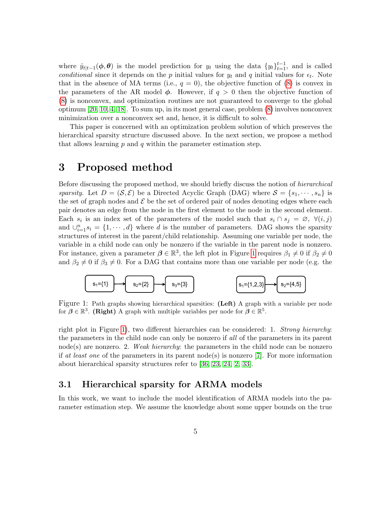where  $\hat{y}_{t|t-1}(\phi, \theta)$  is the model prediction for  $y_t$  using the data  $\{y_t\}_{t=1}^{t-1}$ , and is called conditional since it depends on the p initial values for  $y_t$  and q initial values for  $\epsilon_t$ . Note that in the absence of MA terms (i.e.,  $q = 0$ ), the objective function of [\(8\)](#page-3-0) is convex in the parameters of the AR model  $\phi$ . However, if  $q > 0$  then the objective function of [\(8\)](#page-3-0) is nonconvex, and optimization routines are not guaranteed to converge to the global optimum [\[20,](#page-15-3) [10,](#page-14-3) [4,](#page-13-1) [18\]](#page-14-7). To sum up, in its most general case, problem [\(8\)](#page-3-0) involves nonconvex minimization over a nonconvex set and, hence, it is difficult to solve.

This paper is concerned with an optimization problem solution of which preserves the hierarchical sparsity structure discussed above. In the next section, we propose a method that allows learning  $p$  and  $q$  within the parameter estimation step.

### 3 Proposed method

Before discussing the proposed method, we should briefly discuss the notion of *hierarchical* sparsity. Let  $D = (\mathcal{S}, \mathcal{E})$  be a Directed Acyclic Graph (DAG) where  $\mathcal{S} = \{s_1, \dots, s_n\}$  is the set of graph nodes and  $\mathcal E$  be the set of ordered pair of nodes denoting edges where each pair denotes an edge from the node in the first element to the node in the second element. Each  $s_i$  is an index set of the parameters of the model such that  $s_i \cap s_j = \emptyset$ ,  $\forall (i, j)$ and  $\bigcup_{i=1}^{n} s_i = \{1, \dots, d\}$  where d is the number of parameters. DAG shows the sparsity structures of interest in the parent/child relationship. Assuming one variable per node, the variable in a child node can only be nonzero if the variable in the parent node is nonzero. For instance, given a parameter  $\beta \in \mathbb{R}^3$ , the left plot in Figure [1](#page-4-0) requires  $\beta_1 \neq 0$  if  $\beta_2 \neq 0$ and  $\beta_2 \neq 0$  if  $\beta_3 \neq 0$ . For a DAG that contains more than one variable per node (e.g. the

<span id="page-4-0"></span>

Figure 1: Path graphs showing hierarchical sparsities: (Left) A graph with a variable per node for  $\beta \in \mathbb{R}^3$ . (Right) A graph with multiple variables per node for  $\beta \in \mathbb{R}^5$ .

right plot in Figure [1\)](#page-4-0), two different hierarchies can be considered: 1. Strong hierarchy: the parameters in the child node can only be nonzero if all of the parameters in its parent  $node(s)$  are nonzero. 2. Weak hierarchy: the parameters in the child node can be nonzero if at least one of the parameters in its parent node(s) is nonzero [\[7\]](#page-14-8). For more information about hierarchical sparsity structures refer to [\[36,](#page-16-2) [23,](#page-15-4) [24,](#page-15-5) [2,](#page-13-2) [33\]](#page-16-3).

#### <span id="page-4-1"></span>3.1 Hierarchical sparsity for ARMA models

In this work, we want to include the model identification of ARMA models into the parameter estimation step. We assume the knowledge about some upper bounds on the true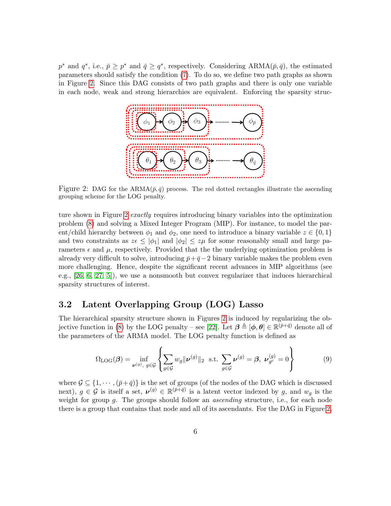<span id="page-5-0"></span> $p^*$  and  $q^*$ , i.e.,  $\bar{p} \geq p^*$  and  $\bar{q} \geq q^*$ , respectively. Considering ARMA $(\bar{p}, \bar{q})$ , the estimated parameters should satisfy the condition [\(7\)](#page-3-1). To do so, we define two path graphs as shown in Figure [2.](#page-5-0) Since this DAG consists of two path graphs and there is only one variable in each node, weak and strong hierarchies are equivalent. Enforcing the sparsity struc-



Figure 2: DAG for the ARMA $(\bar{p}, \bar{q})$  process. The red dotted rectangles illustrate the ascending grouping scheme for the LOG penalty.

ture shown in Figure [2](#page-5-0) exactly requires introducing binary variables into the optimization problem [\(8\)](#page-3-0) and solving a Mixed Integer Program (MIP). For instance, to model the parent/child hierarchy between  $\phi_1$  and  $\phi_2$ , one need to introduce a binary variable  $z \in \{0,1\}$ and two constraints as  $z \in |\phi_1|$  and  $|\phi_2| \leq z \mu$  for some reasonably small and large parameters  $\epsilon$  and  $\mu$ , respectively. Provided that the underlying optimization problem is already very difficult to solve, introducing  $\bar{p}+\bar{q}-2$  binary variable makes the problem even more challenging. Hence, despite the significant recent advances in MIP algorithms (see e.g., [\[26,](#page-15-6) [6,](#page-13-3) [27,](#page-15-7) [5\]](#page-13-4)), we use a nonsmooth but convex regularizer that induces hierarchical sparsity structures of interest.

#### 3.2 Latent Overlapping Group (LOG) Lasso

The hierarchical sparsity structure shown in Figures [2](#page-5-0) is induced by regularizing the ob-jective function in [\(8\)](#page-3-0) by the LOG penalty – see [\[22\]](#page-15-8). Let  $\boldsymbol{\beta} \triangleq [\boldsymbol{\phi}, \boldsymbol{\theta}] \in \mathbb{R}^{(\bar{p}+\bar{q})}$  denote all of the parameters of the ARMA model. The LOG penalty function is defined as

<span id="page-5-1"></span>
$$
\Omega_{\text{LOG}}(\boldsymbol{\beta}) = \inf_{\boldsymbol{\nu}^{(g)}, g \in \mathcal{G}} \left\{ \sum_{g \in \mathcal{G}} w_g ||\boldsymbol{\nu}^{(g)}||_2 \text{ s.t. } \sum_{g \in \mathcal{G}} \boldsymbol{\nu}^{(g)} = \boldsymbol{\beta}, \ \boldsymbol{\nu}_{g^c}^{(g)} = 0 \right\} \tag{9}
$$

where  $\mathcal{G} \subseteq \{1, \cdots, (\bar{p}+\bar{q})\}$  is the set of groups (of the nodes of the DAG which is discussed next),  $g \in \mathcal{G}$  is itself a set,  $\mathcal{V}^{(g)} \in \mathbb{R}^{(\bar{p}+\bar{q})}$  is a latent vector indexed by g, and  $w_g$  is the weight for group g. The groups should follow an *ascending* structure, i.e., for each node there is a group that contains that node and all of its ascendants. For the DAG in Figure [2,](#page-5-0)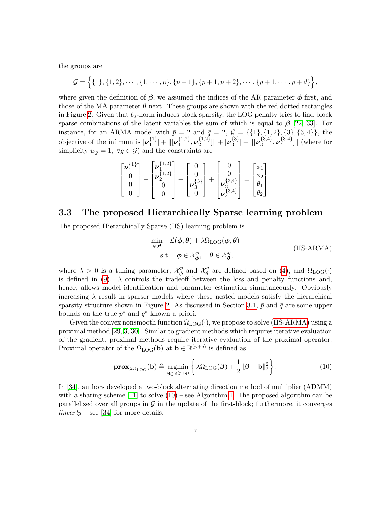the groups are

$$
\mathcal{G} = \{ \{1\}, \{1, 2\}, \cdots, \{1, \cdots, \bar{p}\}, \{\bar{p}+1\}, \{\bar{p}+1, \bar{p}+2\}, \cdots, \{\bar{p}+1, \cdots, \bar{p}+\bar{d}\} \},
$$

where given the definition of  $\beta$ , we assumed the indices of the AR parameter  $\phi$  first, and those of the MA parameter  $\theta$  next. These groups are shown with the red dotted rectangles in Figure [2.](#page-5-0) Given that  $\ell_2$ -norm induces block sparsity, the LOG penalty tries to find block sparse combinations of the latent variables the sum of which is equal to  $\beta$  [\[22,](#page-15-8) [33\]](#page-16-3). For instance, for an ARMA model with  $\bar{p} = 2$  and  $\bar{q} = 2$ ,  $\mathcal{G} = \{\{1\}, \{1, 2\}, \{3\}, \{3, 4\}\}\,$  the objective of the infimum is  $|\nu_1^{\{1\}}\rangle$  $\{1\}\atop{1}|\|\bm{\nu}_1^{\{1,2\}}$  $\{_{1}^{1,2\}},\boldsymbol{\nu}_{2}^{\{1,2\}}$  $\big\{\begin{array}{c} \{1,2\} \ 2 \end{array} \big\} \big\| + |{\boldsymbol \nu}_{3}^{\{3\}}|$  $\genfrac{\{}{\}}{0pt}{}{\{3\}}{3}|\!+\!\|\![\boldsymbol{\nu}_3^{\{3,4\}}]$  $\{^{3,4\}}_3$  ,  $\nu_4^{\{3,4\}}$  $\binom{3,4}{4}$ || (where for simplicity  $w_q = 1$ ,  $\forall g \in \mathcal{G}$  and the constraints are

$$
\begin{bmatrix} \nu_1^{\{1\}} \\ 0 \\ 0 \\ 0 \end{bmatrix} + \begin{bmatrix} \nu_1^{\{1,2\}} \\ \nu_2^{\{1,2\}} \\ 0 \\ 0 \end{bmatrix} + \begin{bmatrix} 0 \\ 0 \\ \nu_3^{\{3\}} \\ 0 \end{bmatrix} + \begin{bmatrix} 0 \\ 0 \\ \nu_3^{\{3,4\}} \\ \nu_4^{\{3,4\}} \end{bmatrix} = \begin{bmatrix} \phi_1 \\ \phi_2 \\ \theta_1 \\ \theta_2 \end{bmatrix}.
$$

### 3.3 The proposed Hierarchically Sparse learning problem

The proposed Hierarchically Sparse (HS) learning problem is

<span id="page-6-0"></span>
$$
\min_{\phi,\theta} \mathcal{L}(\phi,\theta) + \lambda \Omega_{\text{LOG}}(\phi,\theta)
$$
\n
$$
\text{s.t.} \quad \phi \in \mathcal{X}_{\phi}^p, \quad \theta \in \mathcal{X}_{\theta}^q, \tag{HS-ARMA}
$$

where  $\lambda > 0$  is a tuning parameter,  $\mathcal{X}_{\phi}^{p}$  $\mathcal{X}_{\phi}^{p}$  and  $\mathcal{X}_{\theta}^{q}$  $\theta_{\theta}^{q}$  are defined based on [\(4\)](#page-3-2), and  $\Omega_{\text{LOG}}(\cdot)$ is defined in [\(9\)](#page-5-1).  $\lambda$  controls the tradeoff between the loss and penalty functions and, hence, allows model identification and parameter estimation simultaneously. Obviously increasing  $\lambda$  result in sparser models where these nested models satisfy the hierarchical sparsity structure shown in Figure [2.](#page-5-0) As discussed in Section [3.1,](#page-4-1)  $\bar{p}$  and  $\bar{q}$  are some upper bounds on the true  $p^*$  and  $q^*$  known a priori.

Given the convex nonsmooth function  $\Omega_{LOG}(\cdot)$ , we propose to solve [\(HS-ARMA\)](#page-6-0) using a proximal method [\[29,](#page-15-9) [3,](#page-13-5) [30\]](#page-15-10). Similar to gradient methods which requires iterative evaluation of the gradient, proximal methods require iterative evaluation of the proximal operator. Proximal operator of the  $\Omega_{LOG}(\mathbf{b})$  at  $\mathbf{b} \in \mathbb{R}^{(\bar{p}+\bar{q})}$  is defined as

$$
\mathbf{prox}_{\lambda \Omega_{\text{LOG}}}(\mathbf{b}) \triangleq \underset{\boldsymbol{\beta} \in \mathbb{R}^{(\bar{p}+\bar{q})}}{\operatorname{argmin}} \left\{ \lambda \Omega_{\text{LOG}}(\boldsymbol{\beta}) + \frac{1}{2} ||\boldsymbol{\beta} - \mathbf{b}||_2^2 \right\}.
$$
 (10)

In [\[34\]](#page-16-4), authors developed a two-block alternating direction method of multiplier (ADMM) with a sharing scheme  $[11]$  to solve  $(10)$  – see Algorithm [1.](#page-7-0) The proposed algorithm can be parallelized over all groups in  $\mathcal G$  in the update of the first-block; furthermore, it converges  $linearly - see$  [\[34\]](#page-16-4) for more details.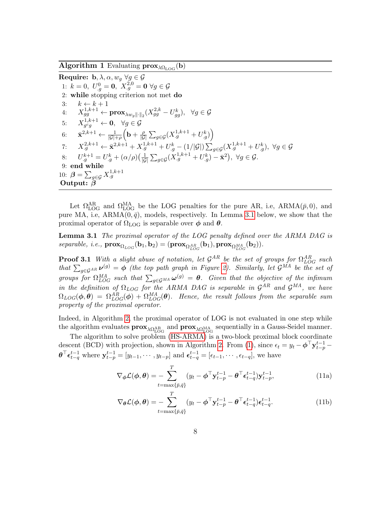<span id="page-7-0"></span>**Algorithm 1** Evaluating  $prox_{\lambda \Omega_{\text{LOG}}}(b)$ 

Require:  $\mathbf{b}, \lambda, \alpha, w_q \ \forall g \in \mathcal{G}$ 1:  $k = 0, U_{g}^{0} = \mathbf{0}, X_{g}^{2,0} = \mathbf{0} \ \forall g \in \mathcal{G}$ 2: while stopping criterion not met do 3:  $k \leftarrow k+1$  $4\colon\quad X^{1,k+1}_{gg}\leftarrow {\mathbf{prox}}_{\lambda w_{g}\|\cdot\|_2}(X^{2,k}_{gg}-U^k_{gg}),\;\;\forall g\in\mathcal{G}$ 5:  $X_{a^c a}^{1,k+1}$  $g^{c}g^{g} \leftarrow \mathbf{0}, \;\; \forall g \in \mathcal{G}$ 6:  $\bar{\mathbf{x}}^{2,k+1} \leftarrow \frac{1}{|\mathcal{G}| + \rho} \Big( \mathbf{b} + \frac{\rho}{|\mathcal{G}|} \Big)$  $\frac{\rho}{|G|}\sum_{g\in\mathcal{G}}(X_{\cdot g}^{1,k+1}+U_{\cdot g}^k)\right)$ 7:  $X_{.g}^{2,k+1} \leftarrow \bar{\mathbf{x}}^{2,k+1} + X_{.g}^{1,k+1} + U_{.g}^k - (1/|\mathcal{G}|) \sum_{g \in \mathcal{G}} (X_{.g}^{1,k+1} + U_{.g}^k), \ \forall g \in \mathcal{G}$ 8:  $U_g^{k+1} = U_g^k + (\alpha/\rho)(\frac{1}{|G|})$  $\frac{1}{|G|}\sum_{g\in\mathcal{G}}(X^{1,k+1}_{.g}+U^{k}_{.g})-\bar{\mathbf{x}}^{2}),\;\forall g\in\mathcal{G}.$ 9: end while 10:  $\boldsymbol{\beta} = \sum_{g \in \mathcal{G}} X_{.g}^{1,k+1}$ Output: β

<span id="page-7-1"></span>Let  $\Omega_{\text{LOG}}^{\text{AR}}$  and  $\Omega_{\text{LOG}}^{\text{MA}}$  be the LOG penalties for the pure AR, i.e, ARMA( $\bar{p}$ , 0), and pure MA, i.e,  $ARMA(0, \bar{q})$ , models, respectively. In Lemma [3.1](#page-7-1) below, we show that the proximal operator of  $\Omega_{\text{LOG}}$  is separable over  $\phi$  and  $\theta$ .

Lemma 3.1 The proximal operator of the LOG penalty defined over the ARMA DAG is  $\text{separable}, \text{ } i.e., \text{ } \textbf{prox}_{\Omega_{LOG}}(\textbf{b}_1, \textbf{b}_2) = (\textbf{prox}_{\Omega_{LOG}^{AR}}(\textbf{b}_1), \textbf{prox}_{\Omega_{LOG}^{MA}}(\textbf{b}_2)).$ 

**Proof 3.1** With a slight abuse of notation, let  $\mathcal{G}^{AR}$  be the set of groups for  $\Omega^{AR}_{LOG}$  such that  $\sum_{g\in\mathcal{G}^{AR}} \nu^{(g)} = \phi$  (the top path graph in Figure [2\)](#page-5-0). Similarly, let  $\mathcal{G}^{MA}$  be the set of groups for  $\Omega_{LOG}^{MA}$  such that  $\sum_{g\in\mathcal{G}^{MA}}\omega^{(g)}=\theta$ . Given that the objective of the infimum in the definition of  $\Omega_{LOG}$  for the ARMA DAG is separable in  $\mathcal{G}^{AR}$  and  $\mathcal{G}^{MA}$ , we have  $\Omega_{LOG}(\boldsymbol\phi, \boldsymbol\theta)\ =\ \Omega^{AR}_{LOG}(\boldsymbol\phi)\ +\ \Omega^{MA}_{LOG}(\boldsymbol\theta).$  Hence, the result follows from the separable sum property of the proximal operator.

Indeed, in Algorithm [2,](#page-8-0) the proximal operator of LOG is not evaluated in one step while the algorithm evaluates  $\mathbf{prox}_{\lambda \Omega_{\text{LOG}}^{\text{AR}}}$  and  $\mathbf{prox}_{\lambda \Omega_{\text{LOG}}^{\text{MA}}}$  sequentially in a Gauss-Seidel manner.

The algorithm to solve problem [\(HS-ARMA\)](#page-6-0) is a two-block proximal block coordinate descent (BCD) with projection, shown in Algorithm [2.](#page-8-0) From [\(1\)](#page-2-0), since  $\epsilon_t = y_t - \phi^\top \mathbf{y}_{t-p}^{t-1}$  $\boldsymbol{\theta}^{\top} \boldsymbol{\epsilon}_{t-q}^{t-1}$  where  $\mathbf{y}_{t-p}^{t-1} = [y_{t-1}, \cdots, y_{t-p}]$  and  $\boldsymbol{\epsilon}_{t-q}^{t-1} = [\epsilon_{t-1}, \cdots, \epsilon_{t-q}]$ , we have

$$
\nabla_{\phi} \mathcal{L}(\phi, \theta) = -\sum_{t = \max\{\bar{p}, \bar{q}\}}^{T} (y_t - \phi^{\top} \mathbf{y}_{t-p}^{t-1} - \theta^{\top} \boldsymbol{\epsilon}_{t-q}^{t-1}) \mathbf{y}_{t-p}^{t-1},
$$
(11a)

$$
\nabla_{\theta} \mathcal{L}(\phi, \theta) = -\sum_{t = \max\{\bar{p}, \bar{q}\}}^{T} (y_t - \phi^{\top} \mathbf{y}_{t-p}^{t-1} - \theta^{\top} \boldsymbol{\epsilon}_{t-q}^{t-1}) \boldsymbol{\epsilon}_{t-q}^{t-1}.
$$
 (11b)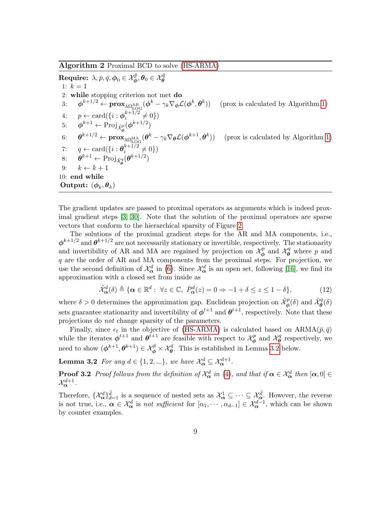<span id="page-8-0"></span>Algorithm 2 Proximal BCD to solve [\(HS-ARMA\)](#page-6-0)

 ${\bf Require:}\;\lambda,\bar p,\bar q,\bm\phi_0\in\mathcal X^{\bar p}_{\bm\phi},\bm\theta_0\in\mathcal X^{\bar q}_{\bm\theta}$ 1:  $k = 1$ 2: while stopping criterion not met do  $\mathrm{d} \mathbf{S}: \quad \ \boldsymbol{\phi}^{k+1/2} \leftarrow \mathbf{prox}_{\lambda \Omega_{\mathrm{LOG}}^{\mathrm{AR}}}(\boldsymbol{\phi}^k - \gamma_k \nabla_{\boldsymbol{\phi}} \mathcal{L}(\boldsymbol{\phi}^k, \boldsymbol{\theta}^k))$ )) (prox is calculated by Algorithm [1\)](#page-7-0) 4:  $p \leftarrow \text{card}(\{i : \boldsymbol{\phi}_i^{k+1/2}\})$  $\binom{k+1/2}{i} \neq 0$ 5:  $\phi^{k+1} \leftarrow \text{Proj}_{\tilde{\mathcal{X}}_{\phi}^p}(\phi^{k+1/2})$ φ  $6\hspace{-1mm}\cdot\hspace{-.4mm} \cdot \quad \boldsymbol{\theta}^{k+1/2} \leftarrow \mathbf{prox}_{\lambda\Omega_{\text{LOG}}^{\text{MA}}}(\boldsymbol{\theta}^k - \gamma_k \nabla_{\boldsymbol{\theta}} \mathcal{L}(\boldsymbol{\phi}^{k+1},\boldsymbol{\theta}^k))$ )) (prox is calculated by Algorithm [1\)](#page-7-0) 7:  $q \leftarrow \text{card}(\{i : \boldsymbol{\theta}_i^{k+1/2}\})$  $i^{k+1/2} \neq 0$ 8:  $\theta^{k+1} \leftarrow \text{Proj}_{\tilde{\mathcal{X}}_{\theta}^{q}}(\theta^{k+1/2})$ 9:  $k \leftarrow k + 1$ 10: end while Output:  $(\boldsymbol{\phi}_k, \boldsymbol{\theta}_k)$ 

The gradient updates are passed to proximal operators as arguments which is indeed proximal gradient steps [\[3,](#page-13-5) [30\]](#page-15-10). Note that the solution of the proximal operators are sparse vectors that conform to the hierarchical sparsity of Figure [2.](#page-5-0)

The solutions of the proximal gradient steps for the AR and MA components, i.e.,  $\phi^{k+1/2}$  and  $\theta^{k+1/2}$  are not necessarily stationary or invertible, respectively. The stationarity and invertibility of AR and MA are regained by projection on  $\mathcal{X}_{\phi}^{p}$  $\mathcal{X}_{\theta}^{p}$  and  $\mathcal{X}_{\theta}^{q}$  where p and q are the order of AR and MA components from the proximal steps. For projection, we use the second definition of  $\mathcal{X}_{\alpha}^d$  in [\(6\)](#page-3-3). Since  $\mathcal{X}_{\alpha}^d$  is an open set, following [\[16\]](#page-14-5), we find its approximation with a closed set from inside as

<span id="page-8-2"></span><span id="page-8-1"></span>
$$
\tilde{\mathcal{X}}_{\alpha}^{d}(\delta) \triangleq \{ \alpha \in \mathbb{R}^{d} : \ \forall z \in \mathbb{C}, \ \bar{P}_{\alpha}^{d}(z) = 0 \Rightarrow -1 + \delta \le z \le 1 - \delta \},\tag{12}
$$

where  $\delta > 0$  determines the approximation gap. Euclidean projection on  $\tilde{\mathcal{X}}_{\phi}^p(\delta)$  and  $\tilde{\mathcal{X}}_{\theta}^q(\delta)$ sets guarantee stationarity and invertibility of  $\phi^{t+1}$  and  $\theta^{t+1}$ , respectively. Note that these projections do not change sparsity of the parameters.

Finally, since  $\epsilon_t$  in the objective of [\(HS-ARMA\)](#page-6-0) is calculated based on  $ARMA(\bar{p}, \bar{q})$ while the iterates  $\phi^{t+1}$  and  $\theta^{t+1}$  are feasible with respect to  $\mathcal{X}_{\phi}^p$  $\mathcal{X}_{\phi}^{p}$  and  $\mathcal{X}_{\theta}^{q}$  $\theta^q$  respectively, we need to show  $(\phi^{k+1}, \theta^{k+1}) \in \mathcal{X}_{\phi}^{\bar{p}} \times \mathcal{X}_{\theta}^{\bar{q}}$ . This is established in Lemma [3.2](#page-8-2) below.

**Lemma 3.2** For any  $d \in \{1, 2, ...\}$ , we have  $\mathcal{X}_{\alpha}^{d} \subseteq \mathcal{X}_{\alpha}^{d+1}$ .

**Proof 3.2** Proof follows from the definition of  $\mathcal{X}_{\alpha}^{d}$  in [\(4\)](#page-3-2), and that if  $\alpha \in \mathcal{X}_{\alpha}^{d}$  then  $[\alpha, 0] \in$  $\mathcal{X}^{d+1}_{\boldsymbol{\alpha}}.$ 

Therefore,  $\{\mathcal{X}_{\alpha}^{d}\}_{d=1}^{\bar{d}}$  is a sequence of nested sets as  $\mathcal{X}_{\alpha}^{1} \subseteq \cdots \subseteq \mathcal{X}_{\alpha}^{\bar{d}}$ . However, the reverse is not true, i.e.,  $\alpha \in \mathcal{X}_{\alpha}^d$  is not sufficient for  $[\alpha_1, \cdots, \alpha_{d-1}] \in \mathcal{X}_{\alpha}^{d-1}$ , which can be shown by counter examples.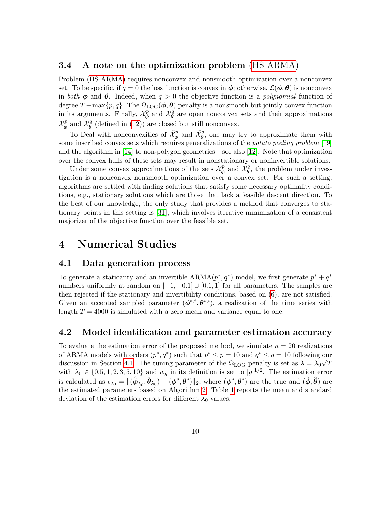#### <span id="page-9-1"></span>3.4 A note on the optimization problem [\(HS-ARMA\)](#page-6-0)

Problem [\(HS-ARMA\)](#page-6-0) requires nonconvex and nonsmooth optimization over a nonconvex set. To be specific, if  $q = 0$  the loss function is convex in  $\phi$ ; otherwise,  $\mathcal{L}(\phi, \theta)$  is nonconvex in both  $\phi$  and  $\theta$ . Indeed, when  $q > 0$  the objective function is a polynomial function of degree  $T - \max\{p, q\}$ . The  $\Omega_{LOG}(\phi, \theta)$  penalty is a nonsmooth but jointly convex function in its arguments. Finally,  $\mathcal{X}_{\phi}^{p}$  $\mathcal{X}_{\phi}^{p}$  and  $\mathcal{X}_{\theta}^{q}$  $\theta$  are open nonconvex sets and their approximations  $\tilde{\mathcal{X}}_{\phi}^p$  and  $\tilde{\mathcal{X}}_{\theta}^q$  (defined in [\(12\)](#page-8-1)) are closed but still nonconvex.

To Deal with nonconvexities of  $\tilde{\mathcal{X}}_{\phi}^p$  and  $\tilde{\mathcal{X}}_{\theta}^q$ , one may try to approximate them with some inscribed convex sets which requires generalizations of the *potato peeling problem* [\[19\]](#page-14-10) and the algorithm in [\[14\]](#page-14-11) to non-polygon geometries – see also [\[12\]](#page-14-12). Note that optimization over the convex hulls of these sets may result in nonstationary or noninvertible solutions.

Under some convex approximations of the sets  $\tilde{\mathcal{X}}_{\phi}^p$  and  $\tilde{\mathcal{X}}_{\theta}^q$ , the problem under investigation is a nonconvex nonsmooth optimization over a convex set. For such a setting, algorithms are settled with finding solutions that satisfy some necessary optimality conditions, e.g., stationary solutions which are those that lack a feasible descent direction. To the best of our knowledge, the only study that provides a method that converges to stationary points in this setting is [\[31\]](#page-15-11), which involves iterative minimization of a consistent majorizer of the objective function over the feasible set.

### 4 Numerical Studies

#### <span id="page-9-0"></span>4.1 Data generation process

To generate a stationary and an invertible  $ARMA(p^*, q^*)$  model, we first generate  $p^* + q^*$ numbers uniformly at random on  $[-1, -0.1] \cup [0.1, 1]$  for all parameters. The samples are then rejected if the stationary and invertibility conditions, based on [\(6\)](#page-3-3), are not satisfied. Given an accepted sampled parameter  $(\phi^{*,i}, \theta^{*,i})$ , a realization of the time series with length  $T = 4000$  is simulated with a zero mean and variance equal to one.

#### 4.2 Model identification and parameter estimation accuracy

To evaluate the estimation error of the proposed method, we simulate  $n = 20$  realizations of ARMA models with orders  $(p^*, q^*)$  such that  $p^* \leq \bar{p} = 10$  and  $q^* \leq \bar{q} = 10$  following our discussion in Section [4.1.](#page-9-0) The tuning parameter of the  $\Omega_{\text{LOG}}$  penalty is set as  $\lambda = \lambda_0 \sqrt{T}$ with  $\lambda_0 \in \{0.5, 1, 2, 3, 5, 10\}$  and  $w_g$  in its definition is set to  $|g|^{1/2}$ . The estimation error is calculated as  $\epsilon_{\lambda_0} = \|(\hat{\phi}_{\lambda_0}, \hat{\theta}_{\lambda_0}) - (\phi^*, \theta^*)\|_2$ , where  $(\phi^*, \theta^*)$  are the true and  $(\hat{\phi}, \hat{\theta})$  are the estimated parameters based on Algorithm [2.](#page-8-0) Table [1](#page-10-0) reports the mean and standard deviation of the estimation errors for different  $\lambda_0$  values.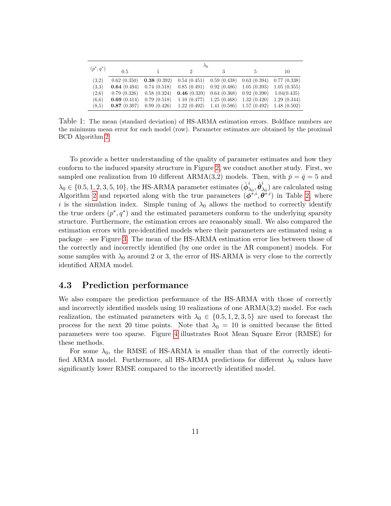<span id="page-10-0"></span>

|              | $\lambda_0$ |             |             |                             |                             |             |  |  |  |  |  |
|--------------|-------------|-------------|-------------|-----------------------------|-----------------------------|-------------|--|--|--|--|--|
| $(p^*, q^*)$ | 0.5         |             |             |                             | 5                           | 10          |  |  |  |  |  |
| (3,2)        | 0.62(0.350) | 0.38(0.392) | 0.54(0.451) |                             | $0.59(0.438)$ $0.63(0.394)$ | 0.77(0.338) |  |  |  |  |  |
| (3.3)        | 0.64(0.494) | 0.74(0.518) | 0.85(0.491) | 0.92(0.486)                 | 1.05(0.393)                 | 1.05(0.355) |  |  |  |  |  |
| (2.6)        | 0.79(0.326) | 0.58(0.324) | 0.46(0.339) | 0.64(0.368)                 | 0.92(0.390)                 | 1.04(0.435) |  |  |  |  |  |
| (6.6)        | 0.69(0.414) | 0.79(0.518) | 1.10(0.477) | 1.25(0.468)                 | 1.32(0.420)                 | 1.29(0.344) |  |  |  |  |  |
| (8.5)        | 0.87(0.307) | 0.99(0.426) | 1.22(0.492) | $1.41(0.586)$ $1.57(0.492)$ |                             | 1.48(0.502) |  |  |  |  |  |

Table 1: The mean (standard deviation) of HS-ARMA estimation errors. Boldface numbers are the minimum mean error for each model (row). Parameter estimates are obtained by the proximal BCD Algorithm [2.](#page-8-0)

To provide a better understanding of the quality of parameter estimates and how they conform to the induced sparsity structure in Figure [2,](#page-5-0) we conduct another study. First, we sampled one realization from 10 different ARMA(3,2) models. Then, with  $\bar{p} = \bar{q} = 5$  and  $\lambda_0 \in \{0.5, 1, 2, 3, 5, 10\}$ , the HS-ARMA parameter estimates  $(\hat{\phi}_2^i)$  $_{\lambda_{0}}^{i},\hat{\boldsymbol{\theta}}_{\lambda}^{i}$  $\lambda_0$ ) are calculated using Algorithm [2](#page-8-0) and reported along with the true parameters  $(\phi^{*,i}, \theta^{*,i})$  in Table [2,](#page-11-0) where i is the simulation index. Simple tuning of  $\lambda_0$  allows the method to correctly identify the true orders  $(p^*, q^*)$  and the estimated parameters conform to the underlying sparsity structure. Furthermore, the estimation errors are reasonably small. We also compared the estimation errors with pre-identified models where their parameters are estimated using a package – see Figure [3.](#page-12-0) The mean of the HS-ARMA estimation error lies between those of the correctly and incorrectly identified (by one order in the AR component) models. For some samples with  $\lambda_0$  around 2 or 3, the error of HS-ARMA is very close to the correctly identified ARMA model.

#### 4.3 Prediction performance

We also compare the prediction performance of the HS-ARMA with those of correctly and incorrectly identified models using 10 realizations of one ARMA(3,2) model. For each realization, the estimated parameters with  $\lambda_0 \in \{0.5, 1, 2, 3, 5\}$  are used to forecast the process for the next 20 time points. Note that  $\lambda_0 = 10$  is omitted because the fitted parameters were too sparse. Figure [4](#page-13-6) illustrates Root Mean Square Error (RMSE) for these methods.

For some  $\lambda_0$ , the RMSE of HS-ARMA is smaller than that of the correctly identified ARMA model. Furthermore, all HS-ARMA predictions for different  $\lambda_0$  values have significantly lower RMSE compared to the incorrectly identified model.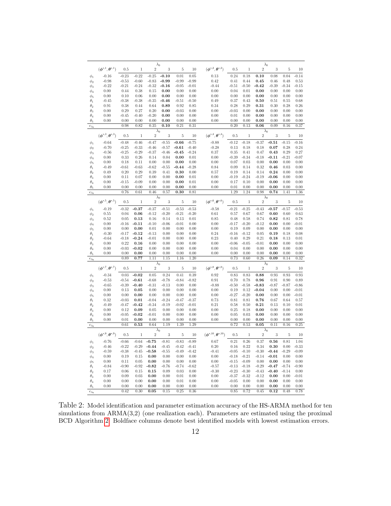<span id="page-11-0"></span>

|                          | $\lambda_0$                                            |                 |                 |                 |                 |                              |                 | $\lambda_0$                                              |              |              |                |                |                |              |
|--------------------------|--------------------------------------------------------|-----------------|-----------------|-----------------|-----------------|------------------------------|-----------------|----------------------------------------------------------|--------------|--------------|----------------|----------------|----------------|--------------|
|                          | $(\boldsymbol{\phi}^{*,1}, \boldsymbol{\theta}^{*,1})$ | 0.5             | $\mathbf{1}$    | $\sqrt{2}$      | 3               | 5                            | 10              | $(\boldsymbol{\phi}^{*,2}, \boldsymbol{\theta}^{*,2})$   | 0.5          | $\mathbf{1}$ | $\sqrt{2}$     | 3              | 5              | 10           |
|                          |                                                        |                 |                 |                 |                 |                              |                 |                                                          |              |              |                |                |                |              |
| $\phi_1$                 | $-0.16$                                                | $-0.23$         | $-0.22$         | $-0.25$         | $-0.10$         | 0.01                         | 0.05            | 0.13                                                     | 0.24         | 0.18         | 0.10           | 0.08           | 0.04           | $-0.14$      |
| $\phi_2$                 | $-0.98$                                                | $-0.53$         | $-0.60$         | $-0.83$         | $-0.99$         | $-0.99$                      | $-0.99$         | 0.42                                                     | 0.41         | 0.44         | 0.45           | 0.46           | 0.48           | 0.53         |
| $\phi_3$                 | $-0.22$                                                | $-0.21$         | $-0.24$         | $-0.32$         | $-0.16$         | $-0.05$                      | $-0.01$         | $-0.44$                                                  | $-0.51$      | $-0.50$      | $-0.42$        | $-0.39$        | $-0.34$        | $-0.15$      |
| $\phi_4$                 | 0.00                                                   | 0.44            | 0.38            | 0.15            | 0.00            | 0.00                         | 0.00            | 0.00                                                     | 0.04         | 0.01         | 0.00           | 0.00           | 0.00           | 0.00         |
| $\phi_5$                 | 0.00<br>$-0.45$                                        | 0.10<br>$-0.38$ | 0.06<br>$-0.38$ | 0.00<br>$-0.35$ | 0.00<br>$-0.46$ | 0.00<br>$-0.51$              | 0.00            | 0.00<br>0.49                                             | 0.00<br>0.37 | 0.00<br>0.43 | 0.00<br>0.50   | 0.00<br>0.51   | 0.00<br>0.55   | 0.00<br>0.68 |
| $\theta_1$               | 0.91                                                   | 0.38            | 0.44            | 0.64            | 0.89            | 0.92                         | $-0.50$<br>0.85 | 0.34                                                     | 0.28         | 0.29         | 0.31           | 0.30           | 0.28           | 0.26         |
| $\theta_2$<br>$\theta_3$ | 0.00                                                   | 0.29            | 0.27            | 0.20            | 0.00            | $-0.03$                      | 0.00            | 0.00                                                     | $-0.03$      | 0.00         | 0.00           | 0.00           | 0.00           | 0.00         |
| $\theta_4$               | 0.00                                                   | $-0.45$         | $-0.40$         | $-0.20$         | 0.00            | 0.00                         | 0.00            | 0.00                                                     | 0.01         | 0.00         | 0.00           | 0.00           | 0.00           | 0.00         |
| $\theta_5$               | 0.00                                                   | 0.00            | 0.00            | 0.00            | 0.00            | 0.00                         | 0.00            | 0.00                                                     | 0.00         | 0.00         | 0.00           | 0.00           | 0.00           | 0.00         |
| $\epsilon_{\lambda_0}$   |                                                        | 0.98            | 0.82            | 0.35            | 0.10            | 0.21                         | 0.31            |                                                          | 0.20         | 0.13         | 0.06           | 0.09           | 0.16           | 0.37         |
|                          |                                                        |                 |                 |                 | $\lambda_0$     |                              |                 |                                                          |              |              | $\lambda_0$    |                |                |              |
|                          | $(\phi^{*,3}, \theta^{*,3})$                           | 0.5             | $\,1\,$         | $\overline{2}$  | 3               | $\bf 5$                      | 10              | $(\boldsymbol{\phi}^{*,4}, \boldsymbol{\theta}^{*,4})$   | 0.5          | $\,1\,$      | $\overline{2}$ | $\overline{3}$ | $\overline{5}$ | 10           |
|                          | $-0.64$                                                | $-0.48$         | $-0.46$         | $-0.47$         | $-0.55$         | $-0.66$                      | $-0.75$         | $-0.88$                                                  | $-0.12$      | $-0.18$      | $-0.37$        | $-0.51$        | $-0.15$        | $-0.16$      |
| $\phi_1$                 | $-0.70$                                                | $-0.25$         | $-0.33$         | $-0.46$         | $-0.57$         | $-0.61$                      | $-0.40$         | $-0.28$                                                  | 0.13         | 0.18         | 0.18           | 0.07           | 0.28           | 0.24         |
| $\phi_2$<br>$\phi_3$     | $-0.56$                                                | $-0.25$         | $-0.29$         | $-0.37$         | $-0.46$         | $-0.45$                      | $-0.24$         | 0.37                                                     | 0.35         | 0.41         | 0.47           | 0.43           | 0.29           | 0.27         |
| $\phi_4$                 | 0.00                                                   | 0.33            | 0.26            | 0.14            | 0.04            | 0.00                         | 0.01            | 0.00                                                     | $-0.39$      | $-0.34$      | $-0.18$        | $-0.11$        | $-0.21$        | $-0.07$      |
| $\phi_5$                 | 0.00                                                   | 0.18            | 0.11            | 0.00            | 0.00            | 0.00                         | 0.00            | 0.00                                                     | 0.07         | 0.03         | 0.00           | 0.00           | 0.00           | 0.00         |
| $\theta_1$               | $-0.49$                                                | $-0.61$         | $-0.63$         | $-0.62$         | $-0.55$         | $-0.44$                      | $-0.28$         | 0.84                                                     | 0.09         | 0.14         | 0.32           | 0.46           | 0.03           | 0.00         |
| $\theta_2$               | 0.49                                                   | 0.20            | 0.29            | 0.39            | 0.41            | 0.30                         | 0.00            | 0.57                                                     | 0.19         | 0.14         | 0.14           | 0.24           | 0.00           | 0.00         |
| $\theta_3$               | 0.00                                                   | 0.11            | 0.07            | 0.00            | 0.00            | 0.00                         | 0.01            | 0.00                                                     | $-0.19$      | $-0.24$      | $-0.19$        | $-0.06$        | 0.00           | 0.00         |
| $\theta_4$               | 0.00                                                   | $-0.15$         | $-0.09$         | 0.00            | 0.00            | 0.00                         | 0.01            | 0.00                                                     | 0.17         | 0.10         | 0.00           | 0.00           | 0.00           | 0.00         |
| $\theta_5$               | 0.00                                                   | 0.00            | 0.00            | 0.00            | 0.00            | 0.00                         | 0.00            | 0.00                                                     | 0.01         | 0.00         | 0.00           | 0.00           | 0.00           | 0.00         |
| $\epsilon_{\lambda_0}$   |                                                        | 0.76            | 0.61            | 0.46            | 0.57            | 0.30                         | 0.81            |                                                          | 1.29         | 1.24         | 0.98           | 0.74           | 1.41           | 1.36         |
|                          |                                                        |                 |                 |                 | $\lambda_0$     |                              |                 |                                                          |              |              |                | $\lambda_0$    |                |              |
|                          | $(\boldsymbol{\phi}^{*,5},\boldsymbol{\theta}^{*,5})$  | 0.5             | $\mathbf{1}$    | $\overline{2}$  | 3               | $\,$ 5                       | 10              | $(\phi^{*,6}, \theta^{*,6})$                             | 0.5          | $\,1$        | $\overline{2}$ | 3              | $\overline{5}$ | 10           |
| $\phi_1$                 | $-0.19$                                                | $-0.32$         | $-0.37$         | $-0.37$         | $-0.51$         | $-0.53$                      | $-0.53$         | $-0.58$                                                  | $-0.21$      | $-0.25$      | $-0.43$        | $-0.57$        | $-0.57$        | $-0.53$      |
| $\phi_2$                 | 0.55                                                   | 0.04            | 0.06            | $-0.12$         | $-0.20$         | $-0.21$                      | $-0.20$         | 0.61                                                     | 0.57         | 0.67         | 0.67           | 0.60           | 0.60           | 0.63         |
| $\phi_3$                 | 0.52                                                   | 0.05            | 0.13            | 0.16            | 0.14            | 0.13                         | 0.01            | 0.85                                                     | 0.48         | 0.58         | 0.74           | 0.82           | 0.81           | 0.78         |
| $\phi_4$                 | 0.00                                                   | $-0.16$         | $-0.11$         | $-0.10$         | $-0.06$         | $-0.01$                      | 0.00            | 0.00                                                     | $-0.17$      | $-0.20$      | $-0.12$        | 0.00           | 0.00           | $-0.01$      |
| $\phi_5$                 | 0.00                                                   | 0.00            | 0.00            | 0.01            | 0.00            | 0.00                         | 0.00            | 0.00                                                     | 0.19         | 0.09         | 0.00           | 0.00           | 0.00           | 0.00         |
| $\theta_1$               | $-0.30$                                                | $-0.17$         | $-0.12$         | $-0.13$         | 0.00            | 0.00                         | 0.00            | 0.24                                                     | $-0.16$      | $-0.12$      | 0.05           | 0.19           | 0.18           | 0.08         |
| $\theta_2$               | $-0.64$                                                | $-0.18$         | $-0.24$         | $-0.01$         | 0.00            | 0.00                         | 0.00            | 0.23                                                     | 0.40         | 0.29         | 0.21           | 0.18           | 0.13           | 0.01         |
| $\theta_3$               | 0.00                                                   | 0.22            | 0.16            | 0.00            | 0.00            | 0.00                         | 0.00            | 0.00                                                     | $-0.06$      | $-0.05$      | $-0.01$        | 0.00           | 0.00           | 0.00         |
| $\theta_4$               | 0.00                                                   | $-0.03$         | $-0.02$         | 0.00            | 0.00            | 0.00                         | 0.00            | 0.00                                                     | 0.04         | 0.00         | 0.00           | 0.00           | 0.00           | 0.00         |
| $\theta_5$               | 0.00                                                   | 0.00            | 0.00            | 0.00            | 0.00            | 0.00                         | 0.00            | 0.00                                                     | 0.00         | 0.00         | 0.00           | 0.00           | 0.00           | 0.00         |
| $\epsilon_{\lambda_0}$   |                                                        | 0.89            | 0.77            | 1.11            | 1.15            | 1.16                         | 1.20            |                                                          | 0.73         | 0.60         | 0.26           | 0.09           | 0.14           | 0.32         |
|                          | $\lambda_0$                                            |                 |                 |                 |                 | $(\phi^{*,8}, \theta^{*,8})$ | $\lambda_0$     |                                                          |              |              |                |                |                |              |
|                          | $(\phi^{*,7}, \theta^{*,7})$                           | 0.5             | $\,1$           | $\sqrt{2}$      | $\overline{3}$  | $\mathbf 5$                  | $10\,$          |                                                          | 0.5          | $\,1$        | $\overline{2}$ | 3              | $\mathbf 5$    | 10           |
| $\phi_1$                 | $-0.34$                                                | $\rm 0.03$      | $-0.02$         | 0.05            | 0.24            | 0.41                         | 0.39            | 0.92                                                     | 0.83         | 0.83         | 0.88           | 0.93           | 0.93           | 0.93         |
| $\phi_2$                 | $-0.53$                                                | $-0.54$         | $-0.61$         | $-0.68$         | $-0.78$         | $-0.84$                      | $-0.82$         | 0.91                                                     | 0.70         | 0.78         | 0.96           | 0.91           | 0.90           | 0.89         |
| $\phi_3$                 | $-0.65$                                                | $-0.39$         | $-0.40$         | $-0.31$         | $-0.13$         | 0.00                         | 0.00            | $-0.88$                                                  | $-0.50$      | $-0.58$      | $-0.83$        | $-0.87$        | $-0.87$        | $-0.86$      |
| $\phi_4$                 | 0.00                                                   | 0.13            | 0.05            | 0.00            | 0.00            | 0.00                         | 0.00            | 0.00                                                     | 0.19         | 0.12         | $-0.04$        | 0.00           | 0.00           | $-0.01$      |
| $\phi_5$                 | 0.00                                                   | 0.00            | 0.00            | 0.00            | 0.00            | 0.00                         | 0.00            | 0.00                                                     | $-0.27$      | $-0.20$      | 0.00           | 0.00           | 0.00           | $-0.01$      |
| $\theta_1$               | 0.32                                                   | $-0.03$         | 0.01            | $-0.04$         | $-0.24$         | $-0.47$                      | $-0.37$         | 0.73                                                     | 0.81         | 0.81         | 0.76           | 0.67           | 0.64           | 0.57         |
| $\theta_2$               | $-0.49$                                                | $-0.47$<br>0.12 | $-0.42$<br>0.09 | $-0.34$<br>0.05 | $-0.19$         | $-0.02$<br>0.00              | $-0.01$         | 0.21<br>0.00                                             | 0.58<br>0.25 | 0.50<br>0.18 | 0.21<br>0.00   | 0.13<br>0.00   | 0.10<br>0.00   | 0.01<br>0.00 |
| $\theta_3$               | 0.00<br>0.00                                           | $-0.05$         | $-0.02$         | $-0.01$         | 0.00<br>0.00    | 0.00                         | 0.00<br>0.00    | 0.00                                                     | 0.05         | 0.03         | 0.00           | 0.00           | 0.00           | 0.00         |
| $\theta_4$<br>$\theta_5$ | 0.00                                                   | 0.01            | 0.00            | 0.00            | 0.00            | 0.00                         | 0.00            | 0.00                                                     | 0.00         | 0.00         | 0.00           | 0.00           | 0.00           | 0.00         |
| $\epsilon_{\lambda_0}$   |                                                        | 0.61            | 0.53            | 0.64            | 1.19            | 1.39                         | 1.29            |                                                          | 0.72         | 0.53         | 0.05           | 0.11           | 0.16           | 0.25         |
|                          |                                                        |                 |                 |                 | $\lambda_0$     |                              |                 |                                                          |              |              |                | $\lambda_0$    |                |              |
|                          | $(\boldsymbol{\phi}^{*,9},\boldsymbol{\theta}^{*,9})$  | 0.5             | $\mathbf{1}$    | $\sqrt{2}$      | 3               | $\overline{5}$               | $10\,$          | $(\boldsymbol{\phi}^{*,10}, \boldsymbol{\theta}^{*,10})$ | 0.5          | $\mathbf{1}$ | $\sqrt{2}$     | 3              | 5              | 10           |
| $\phi_1$                 | $-0.76$                                                | $-0.66$         | $-0.64$         | $-0.75$         | $-0.81$         | $-0.83$                      | $-0.89$         | 0.67                                                     | 0.21         | 0.26         | 0.37           | 0.56           | 0.81           | 1.04         |
| $\phi_2$                 | $-0.46$                                                | $-0.22$         | $-0.29$         | $-0.44$         | $-0.45$         | $-0.42$                      | $-0.41$         | 0.20                                                     | 0.16         | 0.22         | 0.34           | 0.30           | 0.00           | $-0.33$      |
| $\phi_3$                 | $-0.59$                                                | $-0.38$         | $-0.45$         | $-0.58$         | $-0.55$         | $-0.49$                      | $-0.42$         | $-0.41$                                                  | $-0.05$      | $-0.10$      | $-0.30$        | $-0.44$        | $-0.29$        | $-0.09$      |
| $\phi_4$                 | 0.00                                                   | 0.19            | 0.15            | 0.00            | 0.00            | 0.00                         | 0.00            | 0.00                                                     | $-0.18$      | $-0.21$      | $-0.14$        | $-0.01$        | 0.00           | 0.00         |
| $\phi_5$                 | 0.00                                                   | 0.11            | 0.05            | 0.00            | 0.00            | 0.00                         | 0.00            | 0.00                                                     | $-0.15$      | $-0.09$      | 0.00           | 0.00           | 0.00           | 0.00         |
| $\theta_1$               | $-0.84$                                                | $-0.90$         | $-0.92$         | $-0.82$         | $-0.76$         | $-0.74$                      | $-0.62$         | $-0.57$                                                  | $-0.13$      | $-0.18$      | $-0.29$        | $-0.47$        | $-0.74$        | $-0.90$      |
| $\theta_2$               | 0.17                                                   | 0.06            | 0.15            | 0.15            | 0.09            | 0.03                         | 0.00            | $-0.30$                                                  | $-0.23$      | $-0.30$      | $-0.43$        | $-0.40$        | $-0.14$        | 0.00         |
| $\theta_3$               | 0.00                                                   | 0.09            | 0.03            | 0.00            | 0.00            | 0.01                         | 0.00            | 0.00                                                     | $-0.37$      | $-0.32$      | $-0.12$        | 0.00           | 0.00           | $-0.01$      |
| $\theta_4$               | 0.00                                                   | 0.00            | 0.00            | 0.00            | 0.00            | 0.01                         | 0.00            | 0.00                                                     | $-0.05$      | 0.00         | 0.00           | 0.00           | 0.00           | 0.00         |
| $\theta_5$               | 0.00                                                   | 0.00            | 0.00            | 0.00            | 0.00            | 0.00                         | 0.00            | 0.00                                                     | 0.00         | 0.00         | 0.00           | 0.00           | 0.00           | 0.00         |
| $\epsilon_{\lambda_0}$   |                                                        | 0.42            | 0.30            | 0.05            | 0.15            | 0.25                         | 0.36            |                                                          | 0.85         | 0.72         | 0.45           | 0.12           | 0.48           | 0.78         |

Table 2: Model identification and parameter estimation accuracy of the HS-ARMA method for ten simulations from ARMA(3,2) (one realization each). Parameters are estimated using the proximal BCD Algorithm [2.](#page-8-0) Boldface columns denote best identified models with lowest estimation errors.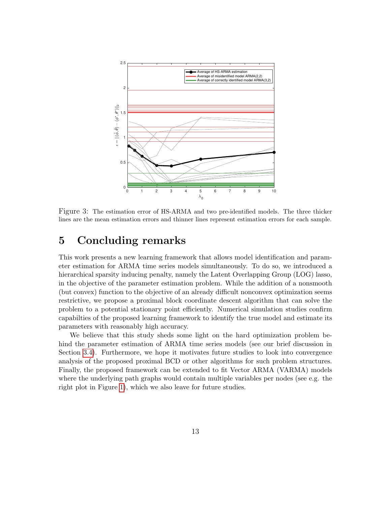<span id="page-12-0"></span>

Figure 3: The estimation error of HS-ARMA and two pre-identified models. The three thicker lines are the mean estimation errors and thinner lines represent estimation errors for each sample.

## 5 Concluding remarks

This work presents a new learning framework that allows model identification and parameter estimation for ARMA time series models simultaneously. To do so, we introduced a hierarchical sparsity inducing penalty, namely the Latent Overlapping Group (LOG) lasso, in the objective of the parameter estimation problem. While the addition of a nonsmooth (but convex) function to the objective of an already difficult nonconvex optimization seems restrictive, we propose a proximal block coordinate descent algorithm that can solve the problem to a potential stationary point efficiently. Numerical simulation studies confirm capabilties of the proposed learning framework to identify the true model and estimate its parameters with reasonably high accuracy.

We believe that this study sheds some light on the hard optimization problem behind the parameter estimation of ARMA time series models (see our brief discussion in Section [3.4\)](#page-9-1). Furthermore, we hope it motivates future studies to look into convergence analysis of the proposed proximal BCD or other algorithms for such problem structures. Finally, the proposed framework can be extended to fit Vector ARMA (VARMA) models where the underlying path graphs would contain multiple variables per nodes (see e.g. the right plot in Figure [1\)](#page-4-0), which we also leave for future studies.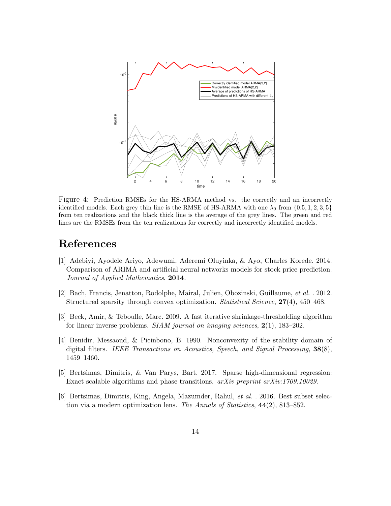<span id="page-13-6"></span>

Figure 4: Prediction RMSEs for the HS-ARMA method vs. the correctly and an incorrectly identified models. Each grey thin line is the RMSE of HS-ARMA with one  $\lambda_0$  from  $\{0.5, 1, 2, 3, 5\}$ from ten realizations and the black thick line is the average of the grey lines. The green and red lines are the RMSEs from the ten realizations for correctly and incorrectly identified models.

### References

- <span id="page-13-0"></span>[1] Adebiyi, Ayodele Ariyo, Adewumi, Aderemi Oluyinka, & Ayo, Charles Korede. 2014. Comparison of ARIMA and artificial neural networks models for stock price prediction. Journal of Applied Mathematics, 2014.
- <span id="page-13-2"></span>[2] Bach, Francis, Jenatton, Rodolphe, Mairal, Julien, Obozinski, Guillaume, et al. . 2012. Structured sparsity through convex optimization. Statistical Science, 27(4), 450–468.
- <span id="page-13-5"></span>[3] Beck, Amir, & Teboulle, Marc. 2009. A fast iterative shrinkage-thresholding algorithm for linear inverse problems. *SIAM journal on imaging sciences*,  $2(1)$ , 183–202.
- <span id="page-13-1"></span>[4] Benidir, Messaoud, & Picinbono, B. 1990. Nonconvexity of the stability domain of digital filters. IEEE Transactions on Acoustics, Speech, and Signal Processing, 38(8), 1459–1460.
- <span id="page-13-4"></span>[5] Bertsimas, Dimitris, & Van Parys, Bart. 2017. Sparse high-dimensional regression: Exact scalable algorithms and phase transitions.  $arXiv$  preprint  $arXiv:1709.10029$ .
- <span id="page-13-3"></span>[6] Bertsimas, Dimitris, King, Angela, Mazumder, Rahul, et al. . 2016. Best subset selection via a modern optimization lens. The Annals of Statistics,  $44(2)$ , 813–852.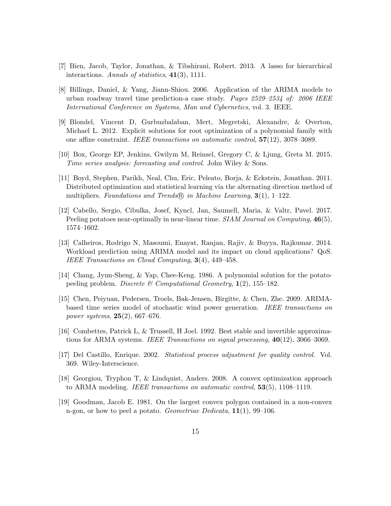- <span id="page-14-8"></span>[7] Bien, Jacob, Taylor, Jonathan, & Tibshirani, Robert. 2013. A lasso for hierarchical interactions. Annals of statistics, 41(3), 1111.
- <span id="page-14-0"></span>[8] Billings, Daniel, & Yang, Jiann-Shiou. 2006. Application of the ARIMA models to urban roadway travel time prediction-a case study. Pages  $2529 - 2534$  of: 2006 IEEE International Conference on Systems, Man and Cybernetics, vol. 3. IEEE.
- <span id="page-14-6"></span>[9] Blondel, Vincent D, Gurbuzbalaban, Mert, Megretski, Alexandre, & Overton, Michael L. 2012. Explicit solutions for root optimization of a polynomial family with one affine constraint. IEEE transactions on automatic control,  $57(12)$ , 3078–3089.
- <span id="page-14-3"></span>[10] Box, George EP, Jenkins, Gwilym M, Reinsel, Gregory C, & Ljung, Greta M. 2015. Time series analysis: forecasting and control. John Wiley & Sons.
- <span id="page-14-9"></span>[11] Boyd, Stephen, Parikh, Neal, Chu, Eric, Peleato, Borja, & Eckstein, Jonathan. 2011. Distributed optimization and statistical learning via the alternating direction method of multipliers. Foundations and Trends R in Machine Learning,  $3(1)$ , 1–122.
- <span id="page-14-12"></span>[12] Cabello, Sergio, Cibulka, Josef, Kyncl, Jan, Saumell, Maria, & Valtr, Pavel. 2017. Peeling potatoes near-optimally in near-linear time. SIAM Journal on Computing,  $46(5)$ , 1574–1602.
- <span id="page-14-1"></span>[13] Calheiros, Rodrigo N, Masoumi, Enayat, Ranjan, Rajiv, & Buyya, Rajkumar. 2014. Workload prediction using ARIMA model and its impact on cloud applications? QoS. IEEE Transactions on Cloud Computing, 3(4), 449–458.
- <span id="page-14-11"></span>[14] Chang, Jyun-Sheng, & Yap, Chee-Keng. 1986. A polynomial solution for the potatopeeling problem. Discrete & Computational Geometry,  $\mathbf{1}(2)$ , 155–182.
- <span id="page-14-2"></span>[15] Chen, Peiyuan, Pedersen, Troels, Bak-Jensen, Birgitte, & Chen, Zhe. 2009. ARIMAbased time series model of stochastic wind power generation. IEEE transactions on power systems, 25(2), 667–676.
- <span id="page-14-5"></span>[16] Combettes, Patrick L, & Trussell, H Joel. 1992. Best stable and invertible approximations for ARMA systems. IEEE Transactions on signal processing,  $40(12)$ , 3066–3069.
- <span id="page-14-4"></span>[17] Del Castillo, Enrique. 2002. Statistical process adjustment for quality control. Vol. 369. Wiley-Interscience.
- <span id="page-14-7"></span>[18] Georgiou, Tryphon T, & Lindquist, Anders. 2008. A convex optimization approach to ARMA modeling. IEEE transactions on automatic control, 53(5), 1108–1119.
- <span id="page-14-10"></span>[19] Goodman, Jacob E. 1981. On the largest convex polygon contained in a non-convex n-gon, or how to peel a potato. Geometriae Dedicata,  $11(1)$ , 99–106.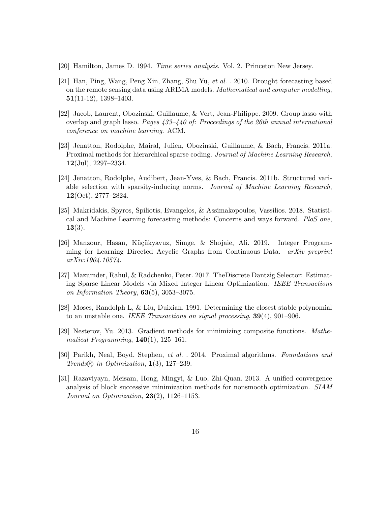- <span id="page-15-3"></span>[20] Hamilton, James D. 1994. Time series analysis. Vol. 2. Princeton New Jersey.
- <span id="page-15-0"></span>[21] Han, Ping, Wang, Peng Xin, Zhang, Shu Yu, et al. . 2010. Drought forecasting based on the remote sensing data using ARIMA models. Mathematical and computer modelling, 51(11-12), 1398–1403.
- <span id="page-15-8"></span>[22] Jacob, Laurent, Obozinski, Guillaume, & Vert, Jean-Philippe. 2009. Group lasso with overlap and graph lasso. Pages 433–440 of: Proceedings of the 26th annual international conference on machine learning. ACM.
- <span id="page-15-4"></span>[23] Jenatton, Rodolphe, Mairal, Julien, Obozinski, Guillaume, & Bach, Francis. 2011a. Proximal methods for hierarchical sparse coding. Journal of Machine Learning Research,  $12$ (Jul), 2297–2334.
- <span id="page-15-5"></span>[24] Jenatton, Rodolphe, Audibert, Jean-Yves, & Bach, Francis. 2011b. Structured variable selection with sparsity-inducing norms. Journal of Machine Learning Research,  $12(Oct), 2777-2824.$
- <span id="page-15-1"></span>[25] Makridakis, Spyros, Spiliotis, Evangelos, & Assimakopoulos, Vassilios. 2018. Statistical and Machine Learning forecasting methods: Concerns and ways forward. PloS one,  $13(3).$
- <span id="page-15-6"></span>[26] Manzour, Hasan, Küçükyavuz, Simge, & Shojaie, Ali. 2019. Integer Programming for Learning Directed Acyclic Graphs from Continuous Data. arXiv preprint arXiv:1904.10574.
- <span id="page-15-7"></span>[27] Mazumder, Rahul, & Radchenko, Peter. 2017. TheDiscrete Dantzig Selector: Estimating Sparse Linear Models via Mixed Integer Linear Optimization. IEEE Transactions on Information Theory,  $63(5)$ ,  $3053-3075$ .
- <span id="page-15-2"></span>[28] Moses, Randolph L, & Liu, Duixian. 1991. Determining the closest stable polynomial to an unstable one. IEEE Transactions on signal processing,  $39(4)$ ,  $901-906$ .
- <span id="page-15-9"></span>[29] Nesterov, Yu. 2013. Gradient methods for minimizing composite functions. Mathematical Programming,  $140(1)$ ,  $125-161$ .
- <span id="page-15-10"></span>[30] Parikh, Neal, Boyd, Stephen, et al. . 2014. Proximal algorithms. Foundations and Trends R in Optimization, 1(3), 127–239.
- <span id="page-15-11"></span>[31] Razaviyayn, Meisam, Hong, Mingyi, & Luo, Zhi-Quan. 2013. A unified convergence analysis of block successive minimization methods for nonsmooth optimization. SIAM Journal on Optimization,  $23(2)$ , 1126-1153.